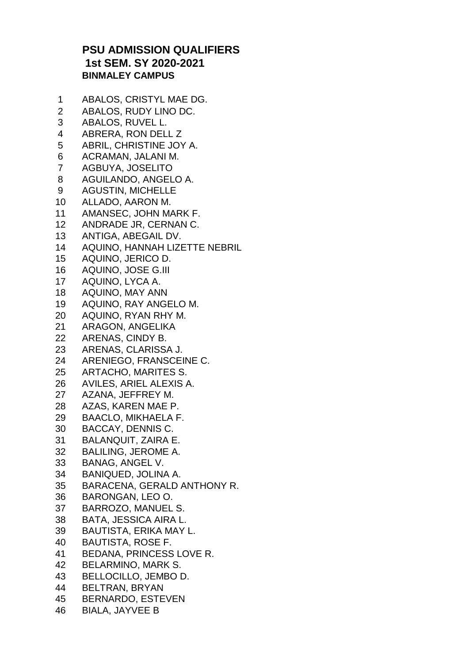## **PSU ADMISSION QUALIFIERS 1st SEM. SY 2020-2021 BINMALEY CAMPUS**

 ABALOS, CRISTYL MAE DG. ABALOS, RUDY LINO DC. ABALOS, RUVEL L. ABRERA, RON DELL Z ABRIL, CHRISTINE JOY A. ACRAMAN, JALANI M. AGBUYA, JOSELITO AGUILANDO, ANGELO A. AGUSTIN, MICHELLE ALLADO, AARON M. AMANSEC, JOHN MARK F. ANDRADE JR, CERNAN C. ANTIGA, ABEGAIL DV. AQUINO, HANNAH LIZETTE NEBRIL AQUINO, JERICO D. AQUINO, JOSE G.III AQUINO, LYCA A. AQUINO, MAY ANN AQUINO, RAY ANGELO M. AQUINO, RYAN RHY M. ARAGON, ANGELIKA ARENAS, CINDY B. ARENAS, CLARISSA J. ARENIEGO, FRANSCEINE C. ARTACHO, MARITES S. AVILES, ARIEL ALEXIS A. AZANA, JEFFREY M. AZAS, KAREN MAE P. BAACLO, MIKHAELA F. BACCAY, DENNIS C. BALANQUIT, ZAIRA E. BALILING, JEROME A. BANAG, ANGEL V. BANIQUED, JOLINA A. BARACENA, GERALD ANTHONY R. BARONGAN, LEO O. BARROZO, MANUEL S. BATA, JESSICA AIRA L. BAUTISTA, ERIKA MAY L. BAUTISTA, ROSE F. BEDANA, PRINCESS LOVE R. BELARMINO, MARK S. BELLOCILLO, JEMBO D. BELTRAN, BRYAN BERNARDO, ESTEVEN BIALA, JAYVEE B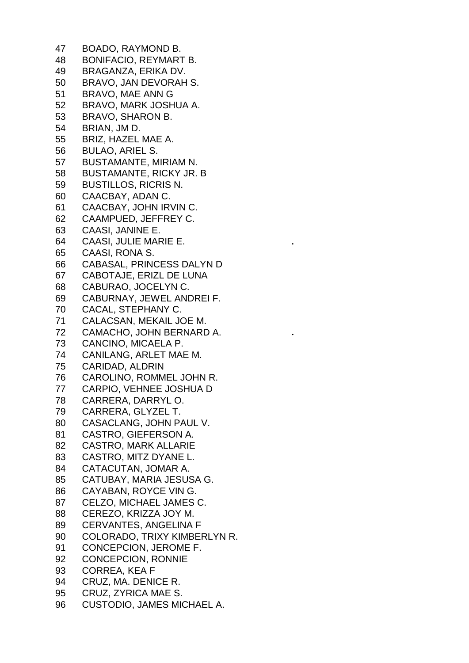BOADO, RAYMOND B. BONIFACIO, REYMART B. BRAGANZA, ERIKA DV. BRAVO, JAN DEVORAH S. BRAVO, MAE ANN G BRAVO, MARK JOSHUA A. BRAVO, SHARON B. BRIAN, JM D. BRIZ, HAZEL MAE A. BULAO, ARIEL S. BUSTAMANTE, MIRIAM N. BUSTAMANTE, RICKY JR. B BUSTILLOS, RICRIS N. CAACBAY, ADAN C. CAACBAY, JOHN IRVIN C. CAAMPUED, JEFFREY C. CAASI, JANINE E. CAASI, JULIE MARIE E. CAASI, RONA S. CABASAL, PRINCESS DALYN D CABOTAJE, ERIZL DE LUNA CABURAO, JOCELYN C. CABURNAY, JEWEL ANDREI F. CACAL, STEPHANY C. CALACSAN, MEKAIL JOE M. CAMACHO, JOHN BERNARD A. CANCINO, MICAELA P. CANILANG, ARLET MAE M. CARIDAD, ALDRIN CAROLINO, ROMMEL JOHN R. CARPIO, VEHNEE JOSHUA D CARRERA, DARRYL O. CARRERA, GLYZEL T. CASACLANG, JOHN PAUL V. CASTRO, GIEFERSON A. CASTRO, MARK ALLARIE CASTRO, MITZ DYANE L. CATACUTAN, JOMAR A. CATUBAY, MARIA JESUSA G. CAYABAN, ROYCE VIN G. CELZO, MICHAEL JAMES C. CEREZO, KRIZZA JOY M. CERVANTES, ANGELINA F COLORADO, TRIXY KIMBERLYN R. CONCEPCION, JEROME F. CONCEPCION, RONNIE CORREA, KEA F CRUZ, MA. DENICE R. CRUZ, ZYRICA MAE S. CUSTODIO, JAMES MICHAEL A.

**.**

**.**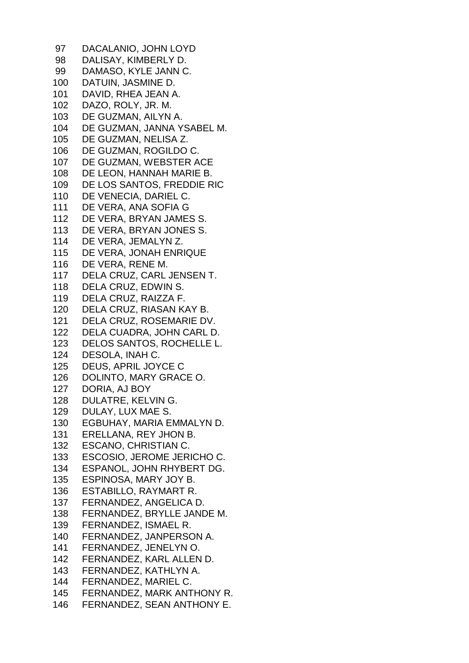DACALANIO, JOHN LOYD DALISAY, KIMBERLY D. DAMASO, KYLE JANN C. DATUIN, JASMINE D. DAVID, RHEA JEAN A. DAZO, ROLY, JR. M. DE GUZMAN, AILYN A. DE GUZMAN, JANNA YSABEL M. DE GUZMAN, NELISA Z. DE GUZMAN, ROGILDO C. DE GUZMAN, WEBSTER ACE DE LEON, HANNAH MARIE B. DE LOS SANTOS, FREDDIE RIC DE VENECIA, DARIEL C. DE VERA, ANA SOFIA G DE VERA, BRYAN JAMES S. DE VERA, BRYAN JONES S. DE VERA, JEMALYN Z. DE VERA, JONAH ENRIQUE DE VERA, RENE M. DELA CRUZ, CARL JENSEN T. DELA CRUZ, EDWIN S. DELA CRUZ, RAIZZA F. DELA CRUZ, RIASAN KAY B. DELA CRUZ, ROSEMARIE DV. DELA CUADRA, JOHN CARL D. DELOS SANTOS, ROCHELLE L. DESOLA, INAH C. DEUS, APRIL JOYCE C DOLINTO, MARY GRACE O. DORIA, AJ BOY DULATRE, KELVIN G. DULAY, LUX MAE S. EGBUHAY, MARIA EMMALYN D. ERELLANA, REY JHON B. ESCANO, CHRISTIAN C. ESCOSIO, JEROME JERICHO C. ESPANOL, JOHN RHYBERT DG. ESPINOSA, MARY JOY B. ESTABILLO, RAYMART R. FERNANDEZ, ANGELICA D. FERNANDEZ, BRYLLE JANDE M. FERNANDEZ, ISMAEL R. FERNANDEZ, JANPERSON A. FERNANDEZ, JENELYN O. FERNANDEZ, KARL ALLEN D. FERNANDEZ, KATHLYN A. FERNANDEZ, MARIEL C. FERNANDEZ, MARK ANTHONY R. FERNANDEZ, SEAN ANTHONY E.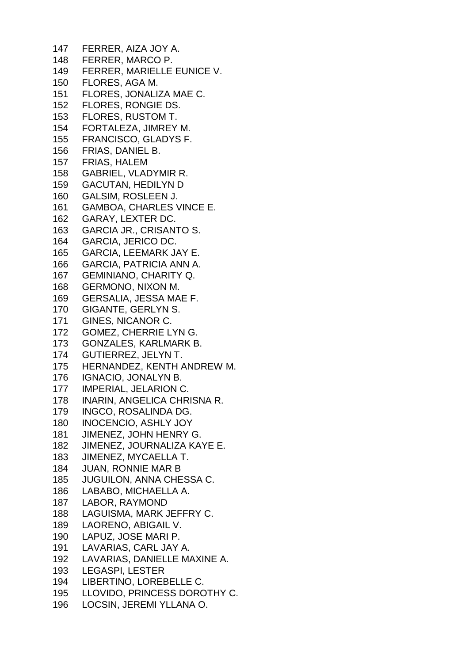FERRER, AIZA JOY A. FERRER, MARCO P. FERRER, MARIELLE EUNICE V. FLORES, AGA M. FLORES, JONALIZA MAE C. FLORES, RONGIE DS. FLORES, RUSTOM T. FORTALEZA, JIMREY M. FRANCISCO, GLADYS F. FRIAS, DANIEL B. FRIAS, HALEM GABRIEL, VLADYMIR R. GACUTAN, HEDILYN D GALSIM, ROSLEEN J. GAMBOA, CHARLES VINCE E. GARAY, LEXTER DC. GARCIA JR., CRISANTO S. GARCIA, JERICO DC. GARCIA, LEEMARK JAY E. GARCIA, PATRICIA ANN A. GEMINIANO, CHARITY Q. GERMONO, NIXON M. GERSALIA, JESSA MAE F. GIGANTE, GERLYN S. GINES, NICANOR C. GOMEZ, CHERRIE LYN G. GONZALES, KARLMARK B. GUTIERREZ, JELYN T. HERNANDEZ, KENTH ANDREW M. IGNACIO, JONALYN B. IMPERIAL, JELARION C. INARIN, ANGELICA CHRISNA R. INGCO, ROSALINDA DG. INOCENCIO, ASHLY JOY JIMENEZ, JOHN HENRY G. JIMENEZ, JOURNALIZA KAYE E. JIMENEZ, MYCAELLA T. JUAN, RONNIE MAR B JUGUILON, ANNA CHESSA C. LABABO, MICHAELLA A. LABOR, RAYMOND LAGUISMA, MARK JEFFRY C. LAORENO, ABIGAIL V. LAPUZ, JOSE MARI P. LAVARIAS, CARL JAY A. LAVARIAS, DANIELLE MAXINE A. LEGASPI, LESTER LIBERTINO, LOREBELLE C. LLOVIDO, PRINCESS DOROTHY C. LOCSIN, JEREMI YLLANA O.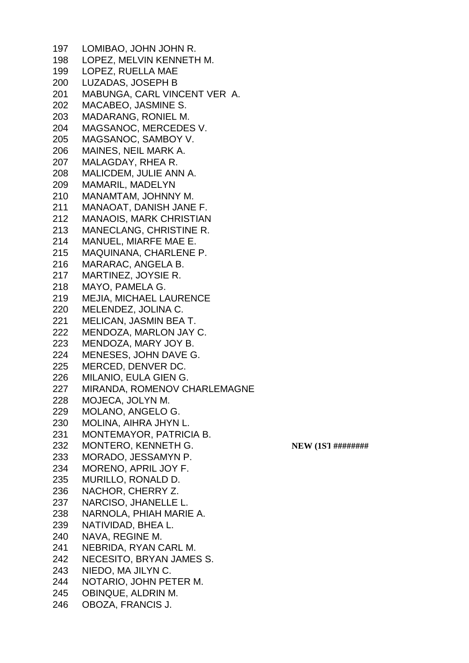LOMIBAO, JOHN JOHN R. LOPEZ, MELVIN KENNETH M. LOPEZ, RUELLA MAE LUZADAS, JOSEPH B MABUNGA, CARL VINCENT VER A. MACABEO, JASMINE S. MADARANG, RONIEL M. MAGSANOC, MERCEDES V. MAGSANOC, SAMBOY V. MAINES, NEIL MARK A. MALAGDAY, RHEA R. MALICDEM, JULIE ANN A. MAMARIL, MADELYN MANAMTAM, JOHNNY M. MANAOAT, DANISH JANE F. MANAOIS, MARK CHRISTIAN MANECLANG, CHRISTINE R. MANUEL, MIARFE MAE E. MAQUINANA, CHARLENE P. MARARAC, ANGELA B. MARTINEZ, JOYSIE R. MAYO, PAMELA G. MEJIA, MICHAEL LAURENCE MELENDEZ, JOLINA C. MELICAN, JASMIN BEA T. MENDOZA, MARLON JAY C. MENDOZA, MARY JOY B. MENESES, JOHN DAVE G. MERCED, DENVER DC. MILANIO, EULA GIEN G. MIRANDA, ROMENOV CHARLEMAGNE MOJECA, JOLYN M. MOLANO, ANGELO G. MOLINA, AIHRA JHYN L. MONTEMAYOR, PATRICIA B. 232 MONTERO, KENNETH G. **NEW (1ST #########**  MORADO, JESSAMYN P. MORENO, APRIL JOY F. MURILLO, RONALD D. NACHOR, CHERRY Z. NARCISO, JHANELLE L. NARNOLA, PHIAH MARIE A. NATIVIDAD, BHEA L. NAVA, REGINE M. NEBRIDA, RYAN CARL M. NECESITO, BRYAN JAMES S. NIEDO, MA JILYN C. NOTARIO, JOHN PETER M. OBINQUE, ALDRIN M. OBOZA, FRANCIS J.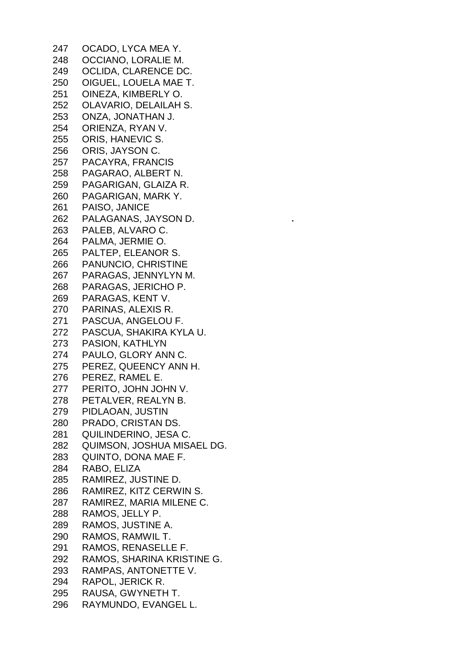OCADO, LYCA MEA Y. OCCIANO, LORALIE M. OCLIDA, CLARENCE DC. OIGUEL, LOUELA MAE T. OINEZA, KIMBERLY O. OLAVARIO, DELAILAH S. ONZA, JONATHAN J. ORIENZA, RYAN V. ORIS, HANEVIC S. ORIS, JAYSON C. PACAYRA, FRANCIS PAGARAO, ALBERT N. PAGARIGAN, GLAIZA R. PAGARIGAN, MARK Y. PAISO, JANICE PALAGANAS, JAYSON D. PALEB, ALVARO C. PALMA, JERMIE O. PALTEP, ELEANOR S. PANUNCIO, CHRISTINE PARAGAS, JENNYLYN M. PARAGAS, JERICHO P. PARAGAS, KENT V. PARINAS, ALEXIS R. PASCUA, ANGELOU F. PASCUA, SHAKIRA KYLA U. PASION, KATHLYN PAULO, GLORY ANN C. PEREZ, QUEENCY ANN H. PEREZ, RAMEL E. PERITO, JOHN JOHN V. PETALVER, REALYN B. PIDLAOAN, JUSTIN PRADO, CRISTAN DS. QUILINDERINO, JESA C. QUIMSON, JOSHUA MISAEL DG. QUINTO, DONA MAE F. RABO, ELIZA RAMIREZ, JUSTINE D. RAMIREZ, KITZ CERWIN S. RAMIREZ, MARIA MILENE C. RAMOS, JELLY P. RAMOS, JUSTINE A. RAMOS, RAMWIL T. RAMOS, RENASELLE F. RAMOS, SHARINA KRISTINE G. RAMPAS, ANTONETTE V. RAPOL, JERICK R. RAUSA, GWYNETH T. RAYMUNDO, EVANGEL L.

**.**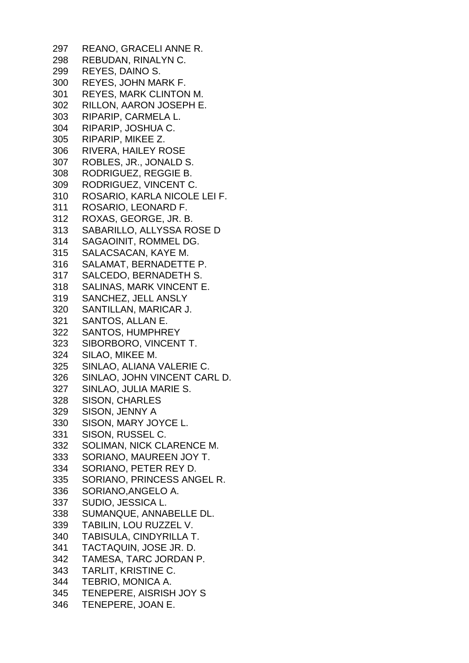REANO, GRACELI ANNE R. REBUDAN, RINALYN C. REYES, DAINO S. REYES, JOHN MARK F. REYES, MARK CLINTON M. RILLON, AARON JOSEPH E. RIPARIP, CARMELA L. RIPARIP, JOSHUA C. RIPARIP, MIKEE Z. RIVERA, HAILEY ROSE ROBLES, JR., JONALD S. RODRIGUEZ, REGGIE B. RODRIGUEZ, VINCENT C. ROSARIO, KARLA NICOLE LEI F. ROSARIO, LEONARD F. ROXAS, GEORGE, JR. B. SABARILLO, ALLYSSA ROSE D SAGAOINIT, ROMMEL DG. SALACSACAN, KAYE M. SALAMAT, BERNADETTE P. SALCEDO, BERNADETH S. SALINAS, MARK VINCENT E. SANCHEZ, JELL ANSLY SANTILLAN, MARICAR J. SANTOS, ALLAN E. SANTOS, HUMPHREY SIBORBORO, VINCENT T. SILAO, MIKEE M. SINLAO, ALIANA VALERIE C. SINLAO, JOHN VINCENT CARL D. SINLAO, JULIA MARIE S. SISON, CHARLES SISON, JENNY A SISON, MARY JOYCE L. SISON, RUSSEL C. SOLIMAN, NICK CLARENCE M. SORIANO, MAUREEN JOY T. SORIANO, PETER REY D. SORIANO, PRINCESS ANGEL R. SORIANO,ANGELO A. SUDIO, JESSICA L. SUMANQUE, ANNABELLE DL. TABILIN, LOU RUZZEL V. TABISULA, CINDYRILLA T. TACTAQUIN, JOSE JR. D. TAMESA, TARC JORDAN P. TARLIT, KRISTINE C. TEBRIO, MONICA A. TENEPERE, AISRISH JOY S TENEPERE, JOAN E.